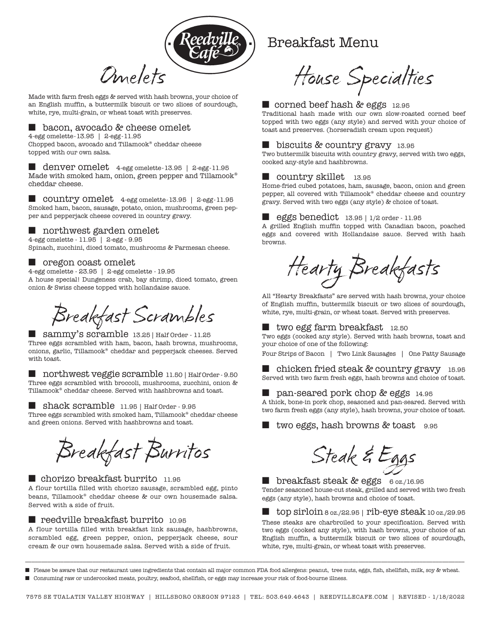

Made with farm fresh eggs & served with hash browns, your choice of an English muffin, a buttermilk biscuit or two slices of sourdough, white, rye, multi-grain, or wheat toast with preserves.

# ■ bacon, avocado & cheese omelet

4-egg omelette-13.95 | 2-egg-11.95 Chopped bacon, avocado and Tillamook® cheddar cheese topped with our own salsa.

denver omelet 4-egg omelette-13.95 | 2-egg-11.95 Made with smoked ham, onion, green pepper and Tillamook® cheddar cheese.

■ country omelet 4-egg omelette-13.95 | 2-egg-11.95 Smoked ham, bacon, sausage, potato, onion, mushrooms, green pepper and pepperjack cheese covered in country gravy.

# ■ northwest garden omelet

4-egg omelette - 11.95 | 2-egg - 9.95 Spinach, zucchini, diced tomato, mushrooms & Parmesan cheese.

# ■ oregon coast omelet

4-egg omelette - 23.95 | 2-egg omelette - 19.95 A house special! Dungeness crab, bay shrimp, diced tomato, green onion & Swiss cheese topped with hollandaise sauce.

Breakfast Scrambles

■ sammy's scramble 13.25 | Half Order - 11.25 Three eggs scrambled with ham, bacon, hash browns, mushrooms, onions, garlic, Tillamook® cheddar and pepperjack cheeses. Served with toast.

■ northwest veggie scramble 11.50 | Half Order - 9.50 Three eggs scrambled with broccoli, mushrooms, zucchini, onion & Tillamook® cheddar cheese. Served with hashbrowns and toast.

■ shack scramble 11.95 | Half Order - 9.95

Three eggs scrambled with smoked ham, Tillamook® cheddar cheese and green onions. Served with hashbrowns and toast.

Breakfast Burritos

■ chorizo breakfast burrito 11.95 A flour tortilla filled with chorizo sausage, scrambled egg, pinto beans, Tillamook® cheddar cheese & our own housemade salsa. Served with a side of fruit.

#### ■ reedville breakfast burrito 10.95

A flour tortilla filled with breakfast link sausage, hashbrowns, scrambled egg, green pepper, onion, pepperjack cheese, sour cream & our own housemade salsa. Served with a side of fruit.

# Breakfast Menu

House Specialties

## ■ corned beef hash & eggs 12.95

Traditional hash made with our own slow-roasted corned beef topped with two eggs (any style) and served with your choice of toast and preserves. (horseradish cream upon request)

### ■ biscuits & country gravy 13.95

Two buttermilk biscuits with country gravy, served with two eggs, cooked any-style and hashbrowns.

# ■ country skillet 13.95

Home-fried cubed potatoes, ham, sausage, bacon, onion and green pepper, all covered with Tillamook® cheddar cheese and country gravy. Served with two eggs (any style) & choice of toast.

#### ■ eggs benedict 13.95 | 1/2 order - 11.95

A grilled English muffin topped with Canadian bacon, poached eggs and covered with Hollandaise sauce. Served with hash browns.

Hearty Breakfasts

All "Hearty Breakfasts" are served with hash browns, your choice of English muffin, buttermilk biscuit or two slices of sourdough, white, rye, multi-grain, or wheat toast. Served with preserves.

# ■ two egg farm breakfast 12.50

Two eggs (cooked any style). Served with hash browns, toast and your choice of one of the following:

Four Strips of Bacon | Two Link Sausages | One Patty Sausage

■ chicken fried steak & country gravy 15.95 Served with two farm fresh eggs, hash browns and choice of toast.

# ■ pan-seared pork chop & eggs 14.95

A thick, bone-in pork chop, seasoned and pan-seared. Served with two farm fresh eggs (any style), hash browns, your choice of toast.

■ two eggs, hash browns & toast 9.95

Steak & Eggs

■ breakfast steak & eggs 6 oz./16.95 Tender seasoned house-cut steak, grilled and served with two fresh eggs (any style), hash browns and choice of toast.

■ top sirloin 8 oz./22.95 | rib-eye steak 10 oz./29.95 These steaks are charbroiled to your specification. Served with two eggs (cooked any style), with hash browns, your choice of an English muffin, a buttermilk biscuit or two slices of sourdough, white, rye, multi-grain, or wheat toast with preserves.

\_\_\_\_\_\_\_\_\_\_\_\_\_\_\_\_\_\_\_\_\_\_\_\_\_\_\_\_\_\_\_\_\_\_\_\_\_\_\_\_\_\_\_\_\_\_\_\_\_\_\_\_\_\_\_\_\_\_\_\_\_\_\_\_\_\_\_\_\_\_\_\_\_\_\_\_\_\_\_\_\_\_\_\_\_\_\_\_\_\_\_\_\_\_\_\_\_\_\_\_\_\_\_\_\_\_\_\_\_\_\_\_\_\_\_\_\_\_\_\_\_\_\_\_\_\_\_\_\_\_\_\_\_\_\_\_\_ ■ Please be aware that our restaurant uses ingredients that contain all major common FDA food allergens: peanut, tree nuts, eggs, fish, shellfish, milk, soy & wheat. ■ Consuming raw or undercooked meats, poultry, seafood, shellfish, or eggs may increase your risk of food-bourne illness.